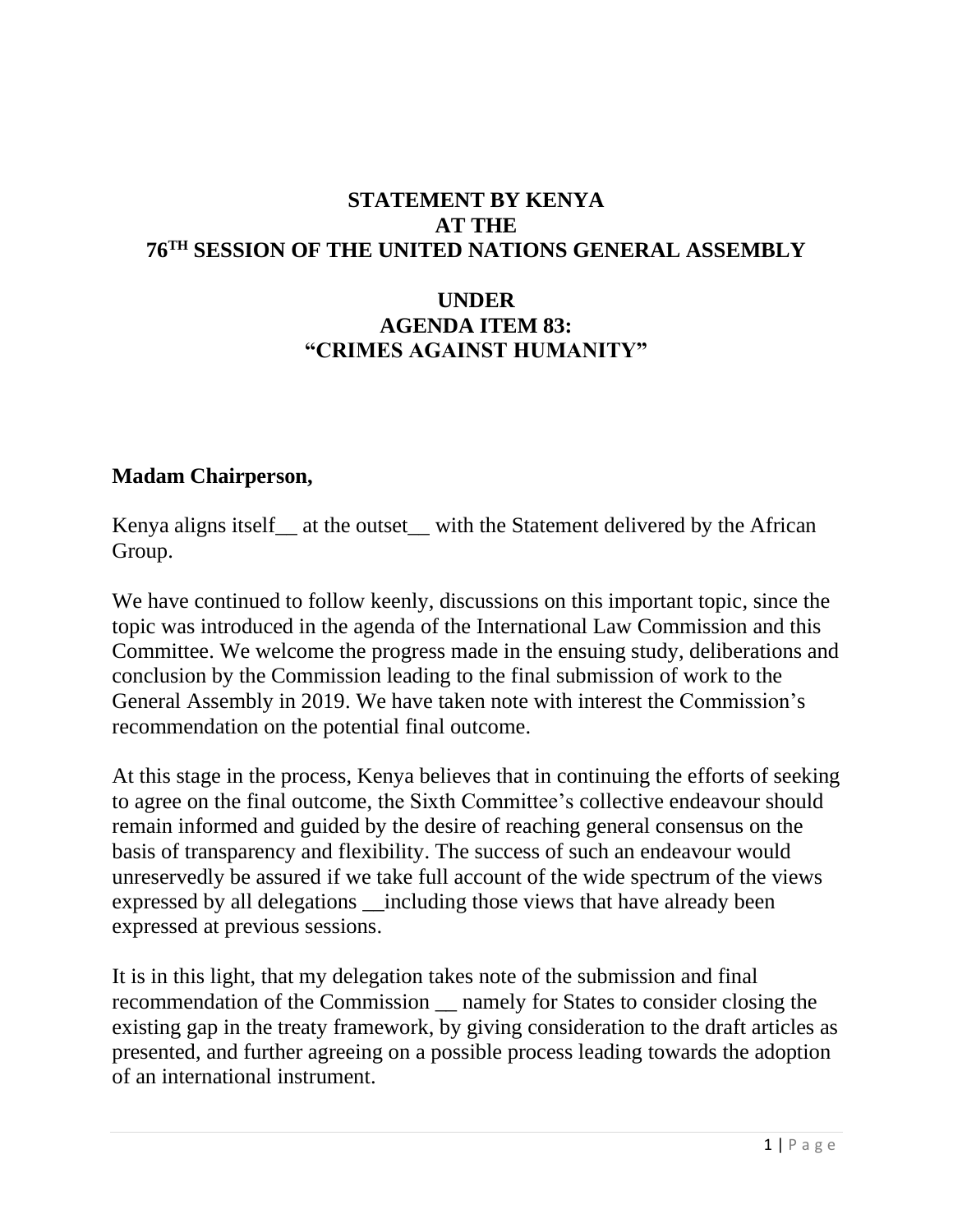## **STATEMENT BY KENYA AT THE 76TH SESSION OF THE UNITED NATIONS GENERAL ASSEMBLY**

## **UNDER AGENDA ITEM 83: "CRIMES AGAINST HUMANITY"**

## **Madam Chairperson,**

Kenya aligns itself\_\_ at the outset\_\_ with the Statement delivered by the African Group.

We have continued to follow keenly, discussions on this important topic, since the topic was introduced in the agenda of the International Law Commission and this Committee. We welcome the progress made in the ensuing study, deliberations and conclusion by the Commission leading to the final submission of work to the General Assembly in 2019. We have taken note with interest the Commission's recommendation on the potential final outcome.

At this stage in the process, Kenya believes that in continuing the efforts of seeking to agree on the final outcome, the Sixth Committee's collective endeavour should remain informed and guided by the desire of reaching general consensus on the basis of transparency and flexibility. The success of such an endeavour would unreservedly be assured if we take full account of the wide spectrum of the views expressed by all delegations \_\_including those views that have already been expressed at previous sessions.

It is in this light, that my delegation takes note of the submission and final recommendation of the Commission \_\_ namely for States to consider closing the existing gap in the treaty framework, by giving consideration to the draft articles as presented, and further agreeing on a possible process leading towards the adoption of an international instrument.